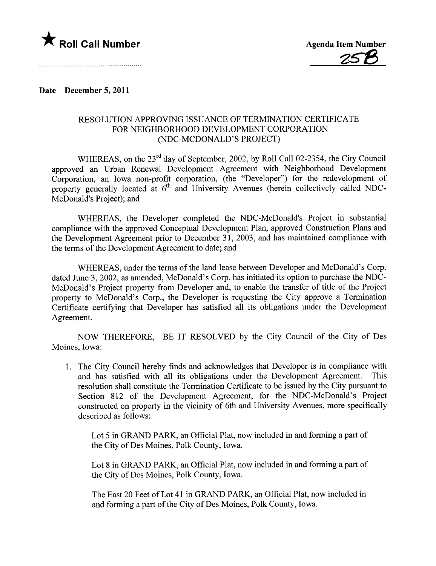

## Date December 5, 2011

## RESOLUTION APPROVING ISSUANCE OF TERMINATION CERTIFICATE FOR NEIGHBORHOOD DEVELOPMENT CORPORATION (NDC-MCDONALD'S PROJECT)

WHEREAS, on the 23<sup>rd</sup> day of September, 2002, by Roll Call 02-2354, the City Council approved an Urban Renewal Development Agreement with Neighborhood Development Corporation, an Iowa non-profit corporation, (the "Developer") for the redevelopment of property generally located at  $6<sup>th</sup>$  and University Avenues (herein collectively called NDC-McDonald's Project); and

WHEREAS, the Developer completed the NDC-McDonald's Project in substantial compliance with the approved Conceptual Development Plan, approved Construction Plans and the Development Agreement prior to December 31, 2003, and has maintained compliance with the terms of the Development Agreement to date; and

WHEREAS, under the terms of the land lease between Developer and McDonald's Corp. dated June 3, 2002, as amended, McDonald's Corp. has initiated its option to purchase the NDC-McDonald's Project property from Developer and, to enable the transfer of title of the Project property to McDonald's Corp., the Developer is requesting the City approve a Termination Certificate certifying that Developer has satisfied all its obligations under the Development Agreement.

NOW THEREFORE, BE IT RESOLVED by the City Council of the City of Des Moines, Iowa:

1. The City Council hereby finds and acknowledges that Developer is in compliance with and has satisfied with all its obligations under the Development Agreement. This resolution shall constitute the Termination Certificate to be issued by the City pursuant to Section 812 of the Development Agreement, for the NDC-McDonald's Project constructed on property in the vicinity of 6th and University Avenues, more specifically described as follows:

Lot 5 in GRAND PARK, an Official Plat, now included in and forming a part of the City of Des Moines, Polk County, Iowa.

Lot 8 in GRAND PARK, an Official Plat, now included in and forming a part of the City of Des Moines, Polk County, Iowa.

The East 20 Feet of Lot 41 in GRAND PARK, an Official Plat, now included in and forming a part of the City of Des Moines, Polk County, Iowa.